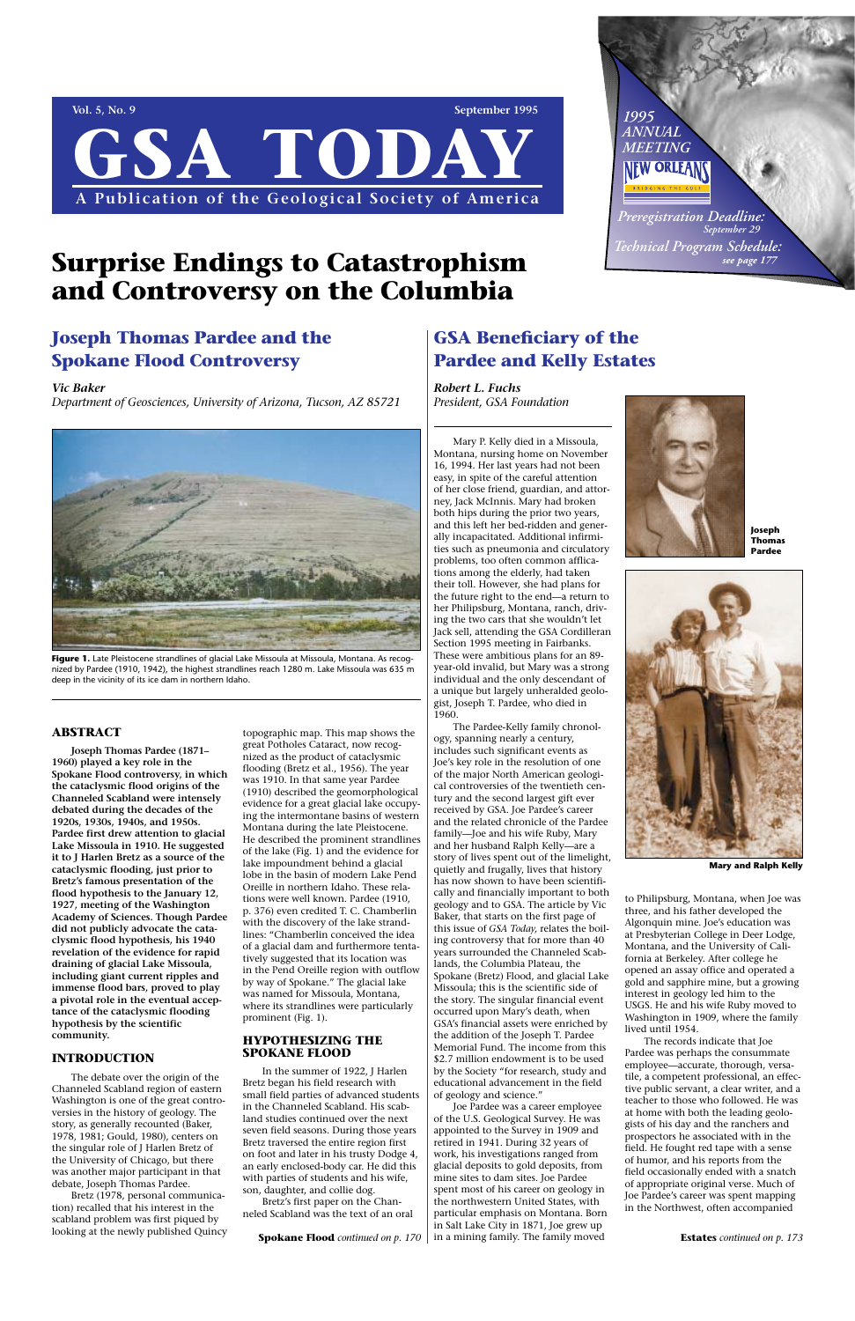**Vol. 5, No. 9** September 1995 **GSA TODA A Publication of the Geological Society of America**

#### **ABSTRACT**

**Joseph Thomas Pardee (1871– 1960) played a key role in the Spokane Flood controversy, in which the cataclysmic flood origins of the Channeled Scabland were intensely debated during the decades of the 1920s, 1930s, 1940s, and 1950s. Pardee first drew attention to glacial Lake Missoula in 1910. He suggested it to J Harlen Bretz as a source of the cataclysmic flooding, just prior to Bretz's famous presentation of the flood hypothesis to the January 12, 1927, meeting of the Washington Academy of Sciences. Though Pardee did not publicly advocate the cataclysmic flood hypothesis, his 1940 revelation of the evidence for rapid draining of glacial Lake Missoula, including giant current ripples and immense flood bars, proved to play a pivotal role in the eventual acceptance of the cataclysmic flooding hypothesis by the scientific community.**

### **INTRODUCTION**

The debate over the origin of the Channeled Scabland region of eastern Washington is one of the great controversies in the history of geology. The story, as generally recounted (Baker, 1978, 1981; Gould, 1980), centers on the singular role of J Harlen Bretz of the University of Chicago, but there was another major participant in that debate, Joseph Thomas Pardee.

Bretz (1978, personal communication) recalled that his interest in the scabland problem was first piqued by looking at the newly published Quincy

The Pardee-Kelly family chronology, spanning nearly a century, includes such significant events as Joe's key role in the resolution of one of the major North American geological controversies of the twentieth century and the second largest gift ever received by GSA. Joe Pardee's career and the related chronicle of the Pardee family—Joe and his wife Ruby, Mary and her husband Ralph Kelly—are a story of lives spent out of the limelight, quietly and frugally, lives that history has now shown to have been scientifically and financially important to both geology and to GSA. The article by Vic Baker, that starts on the first page of this issue of *GSA Today,* relates the boiling controversy that for more than 40 years surrounded the Channeled Scablands, the Columbia Plateau, the Spokane (Bretz) Flood, and glacial Lake Missoula; this is the scientific side of the story. The singular financial event occurred upon Mary's death, when GSA's financial assets were enriched by the addition of the Joseph T. Pardee Memorial Fund. The income from this \$2.7 million endowment is to be used by the Society "for research, study and educational advancement in the field of geology and science." Joe Pardee was a career employee of the U.S. Geological Survey. He was appointed to the Survey in 1909 and retired in 1941. During 32 years of work, his investigations ranged from glacial deposits to gold deposits, from mine sites to dam sites. Joe Pardee spent most of his career on geology in the northwestern United States, with particular emphasis on Montana. Born in Salt Lake City in 1871, Joe grew up **Spokane Flood** *continued on p. 170* | in a mining family. The family moved **Estates** *continued on p. 173* 

topographic map. This map shows the great Potholes Cataract, now recognized as the product of cataclysmic flooding (Bretz et al., 1956). The year was 1910. In that same year Pardee (1910) described the geomorphological evidence for a great glacial lake occupying the intermontane basins of western Montana during the late Pleistocene. He described the prominent strandlines of the lake (Fig. 1) and the evidence for lake impoundment behind a glacial lobe in the basin of modern Lake Pend Oreille in northern Idaho. These relations were well known. Pardee (1910, p. 376) even credited T. C. Chamberlin with the discovery of the lake strandlines: "Chamberlin conceived the idea of a glacial dam and furthermore tentatively suggested that its location was in the Pend Oreille region with outflow by way of Spokane." The glacial lake was named for Missoula, Montana, where its strandlines were particularly prominent (Fig. 1).

### **HYPOTHESIZING THE SPOKANE FLOOD**

In the summer of 1922, J Harlen Bretz began his field research with small field parties of advanced students in the Channeled Scabland. His scabland studies continued over the next seven field seasons. During those years Bretz traversed the entire region first on foot and later in his trusty Dodge 4, an early enclosed-body car. He did this with parties of students and his wife, son, daughter, and collie dog.

Bretz's first paper on the Channeled Scabland was the text of an oral



Figure 1. Late Pleistocene strandlines of glacial Lake Missoula at Missoula, Montana. As recognized by Pardee (1910, 1942), the highest strandlines reach 1280 m. Lake Missoula was 635 m deep in the vicinity of its ice dam in northern Idaho.

Mary P. Kelly died in a Missoula, Montana, nursing home on November 16, 1994. Her last years had not been easy, in spite of the careful attention of her close friend, guardian, and attorney, Jack McInnis. Mary had broken both hips during the prior two years, and this left her bed-ridden and generally incapacitated. Additional infirmities such as pneumonia and circulatory problems, too often common afflications among the elderly, had taken their toll. However, she had plans for the future right to the end—a return to her Philipsburg, Montana, ranch, driving the two cars that she wouldn't let Jack sell, attending the GSA Cordilleran Section 1995 meeting in Fairbanks. These were ambitious plans for an 89 year-old invalid, but Mary was a strong individual and the only descendant of a unique but largely unheralded geologist, Joseph T. Pardee, who died in 1960.

> to Philipsburg, Montana, when Joe was three, and his father developed the Algonquin mine. Joe's education was at Presbyterian College in Deer Lodge, Montana, and the University of California at Berkeley. After college he opened an assay office and operated a gold and sapphire mine, but a growing interest in geology led him to the USGS. He and his wife Ruby moved to Washington in 1909, where the family lived until 1954. The records indicate that Joe Pardee was perhaps the consummate employee—accurate, thorough, versatile, a competent professional, an effective public servant, a clear writer, and a teacher to those who followed. He was at home with both the leading geologists of his day and the ranchers and prospectors he associated with in the field. He fought red tape with a sense of humor, and his reports from the field occasionally ended with a snatch of appropriate original verse. Much of Joe Pardee's career was spent mapping in the Northwest, often accompanied

## **Joseph Thomas Pardee and the Spokane Flood Controversy**

*Vic Baker*

*Department of Geosciences, University of Arizona, Tucson, AZ 85721*

## **GSA Beneficiary of the Pardee and Kelly Estates**

*Robert L. Fuchs President, GSA Foundation*

# **Surprise Endings to Catastrophism and Controversy on the Columbia**



**Mary and Ralph Kelly** 



**Joseph Thomas Pardee**

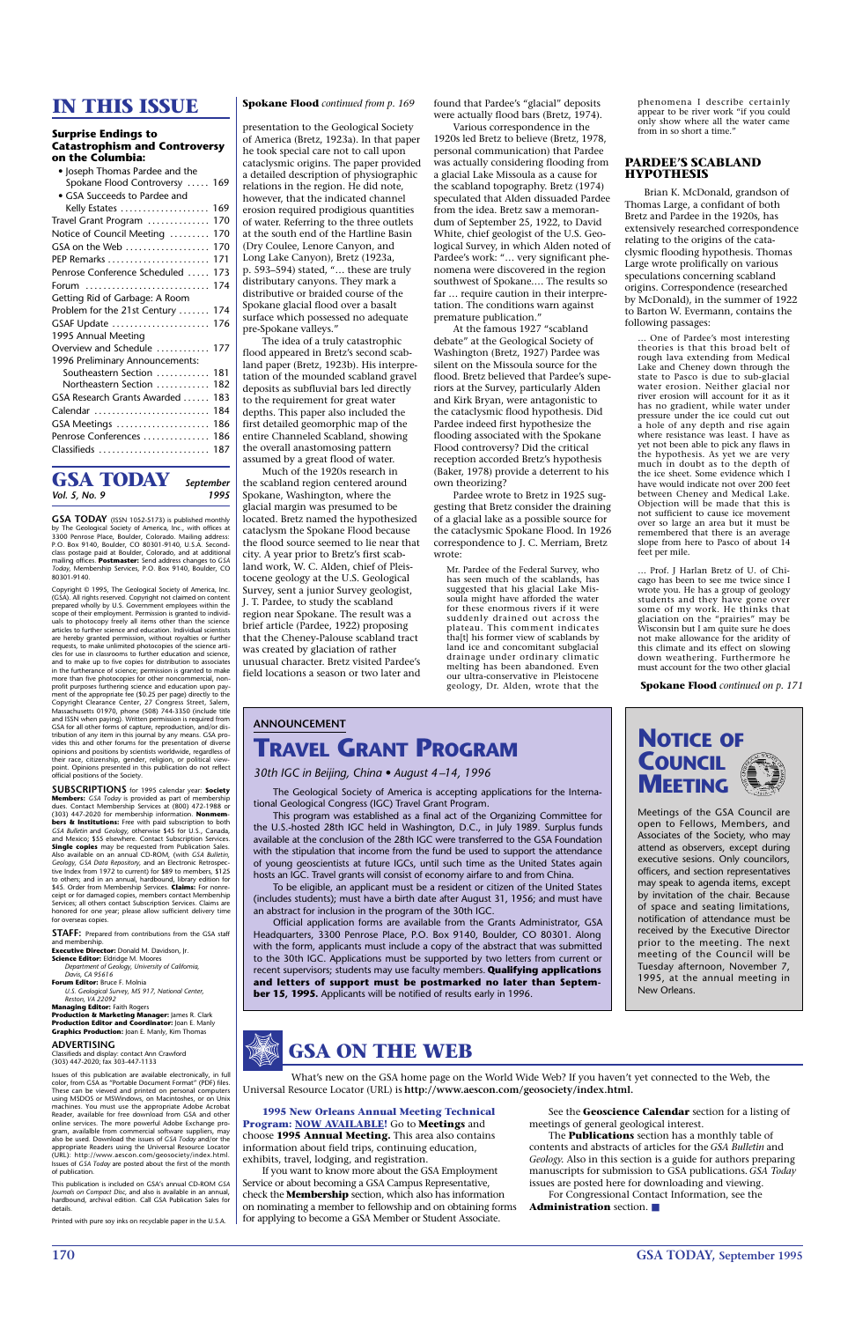**170 GSA TODAY, September 1995**

## **IN THIS ISSUE**

#### **Surprise Endings to Catastrophism and Controversy on the Columbia:**

| • Joseph Thomas Pardee and the    |     |
|-----------------------------------|-----|
| Spokane Flood Controversy  169    |     |
| · GSA Succeeds to Pardee and      |     |
| Kelly Estates  169                |     |
| Travel Grant Program              | 170 |
| Notice of Council Meeting         | 170 |
| GSA on the Web                    | 170 |
| PEP Remarks                       | 171 |
| Penrose Conference Scheduled      | 173 |
| Forum                             | 174 |
| Getting Rid of Garbage: A Room    |     |
| Problem for the 21st Century  174 |     |
| GSAF Update  176                  |     |
| 1995 Annual Meeting               |     |
| Overview and Schedule             | 177 |
| 1996 Preliminary Announcements:   |     |
| Southeastern Section  181         |     |
| Northeastern Section              | 182 |
| GSA Research Grants Awarded       | 183 |
| Calendar                          | 184 |
| GSA Meetings                      | 186 |
| Penrose Conferences  186          |     |
| Classifieds  187                  |     |
|                                   |     |

**GSA TODAY** *September* 

*Vol. 5, No. 9* 

### **GSA TODAY** (ISSN 1052-5173) is published monthly by The Geological Society of America, Inc., with offices at 3300 Penrose Place, Boulder, Colorado. Mailing address: P.O. Box 9140, Boulder, CO 80301-9140, U.S.A. Secondclass postage paid at Boulder, Colorado, and at additional mailing offices. **Postmaster:** Send address changes to *GSA Today,* Membership Services, P.O. Box 9140, Boulder, CO

80301-9140.

Copyright © 1995, The Geological Society of America, Inc. (GSA). All rights reserved. Copyright not claimed on content prepared wholly by U.S. Government employees within the scope of their employment. Permission is granted to individuals to photocopy freely all items other than the science articles to further science and education. Individual scientists are hereby granted permission, without royalties or further requests, to make unlimited photocopies of the science articles for use in classrooms to further education and science, and to make up to five copies for distribution to associates in the furtherance of science; permission is granted to make more than five photocopies for other noncommercial, non-profit purposes furthering science and education upon payment of the appropriate fee (\$0.25 per page) directly to the Copyright Clearance Center, 27 Congress Street, Salem, Massachusetts 01970, phone (508) 744-3350 (include title and ISSN when paying). Written permission is required from GSA for all other forms of capture, reproduction, and/or dis-tribution of any item in this journal by any means. GSA provides this and other forums for the presentation of diverse opinions and positions by scientists worldwide, regardless of their race, citizenship, gender, religion, or political view-point. Opinions presented in this publication do not reflect official positions of the Society.

**SUBSCRIPTIONS** for 1995 calendar year: **Society Members:** *GSA Today* is provided as part of membership dues. Contact Membership Services at (800) 472-1988 or (303) 447-2020 for membership information. **Nonmembers & Institutions:** Free with paid subscription to both *GSA Bulletin* and *Geology,* otherwise \$45 for U.S., Canada, and Mexico; \$55 elsewhere. Contact Subscription Services. **Single copies** may be requested from Publication Sales. Also available on an annual CD-ROM, (with *GSA Bulletin, Geology, GSA Data Repository,* and an Electronic Retrospec-tive Index from 1972 to current) for \$89 to members, \$125 to others; and in an annual, hardbound, library edition for \$45. Order from Membership Services. **Claims:** For nonreceipt or for damaged copies, members contact Membership Services; all others contact Subscription Services. Claims are honored for one year; please allow sufficient delivery time for overseas copies.

**STAFF:** Prepared from contributions from the GSA staff and membership. **Executive Director:** Donald M. Davidson, Jr.

**Science Editor:** Eldridge M. Moores

*Department of Geology, University of California, Davis, CA 95616*

**Forum Editor:** Bruce F. Molnia

*U.S. Geological Survey, MS 917, National Center, Reston, VA 22092*

**Managing Editor:** Faith Rogers

**Production & Marketing Manager:** James R. Clark **Production Editor and Coordinator:** Joan E. Manly **Graphics Production:** Joan E. Manly, Kim Thomas

#### **ADVERTISING**

Classifieds and display: contact Ann Crawford (303) 447-2020; fax 303-447-1133

Issues of this publication are available electronically, in full color, from GSA as "Portable Document Format" (PDF) files. These can be viewed and printed on personal computers using MSDOS or MSWindows, on Macintoshes, or on Unix machines. You must use the appropriate Adobe Acrobat Reader, available for free download from GSA and other online services. The more powerful Adobe Exchange program, availalble from commercial software suppliers, may also be used. Download the issues of *GSA Today* and/or the appropriate Readers using the Universal Resource Locator (URL): http://www.aescon.com/geosociety/index.html. Issues of *GSA Today* are posted about the first of the month of publication.

This publication is included on GSA's annual CD-ROM *GSA Journals on Compact Disc,* and also is available in an annual, hardbound, archival edition. Call GSA Publication Sales for details.

Printed with pure soy inks on recyclable paper in the U.S.A.

presentation to the Geological Society of America (Bretz, 1923a). In that paper he took special care not to call upon cataclysmic origins. The paper provided a detailed description of physiographic relations in the region. He did note, however, that the indicated channel erosion required prodigious quantities of water. Referring to the three outlets at the south end of the Hartline Basin (Dry Coulee, Lenore Canyon, and Long Lake Canyon), Bretz (1923a, p. 593–594) stated, "… these are truly distributary canyons. They mark a distributive or braided course of the Spokane glacial flood over a basalt surface which possessed no adequate pre-Spokane valleys."

The idea of a truly catastrophic flood appeared in Bretz's second scabland paper (Bretz, 1923b). His interpretation of the mounded scabland gravel deposits as subfluvial bars led directly to the requirement for great water depths. This paper also included the first detailed geomorphic map of the entire Channeled Scabland, showing the overall anastomosing pattern assumed by a great flood of water.

Much of the 1920s research in the scabland region centered around Spokane, Washington, where the glacial margin was presumed to be located. Bretz named the hypothesized cataclysm the Spokane Flood because the flood source seemed to lie near that city. A year prior to Bretz's first scabland work, W. C. Alden, chief of Pleistocene geology at the U.S. Geological Survey, sent a junior Survey geologist, J. T. Pardee, to study the scabland region near Spokane. The result was a brief article (Pardee, 1922) proposing that the Cheney-Palouse scabland tract was created by glaciation of rather unusual character. Bretz visited Pardee's field locations a season or two later and found that Pardee's "glacial" deposits were actually flood bars (Bretz, 1974).

Various correspondence in the 1920s led Bretz to believe (Bretz, 1978, personal communication) that Pardee was actually considering flooding from a glacial Lake Missoula as a cause for the scabland topography. Bretz (1974) speculated that Alden dissuaded Pardee from the idea. Bretz saw a memorandum of September 25, 1922, to David White, chief geologist of the U.S. Geological Survey, in which Alden noted of Pardee's work: "… very significant phenomena were discovered in the region southwest of Spokane.… The results so far … require caution in their interpretation. The conditions warn against premature publication."

At the famous 1927 "scabland debate" at the Geological Society of Washington (Bretz, 1927) Pardee was silent on the Missoula source for the flood. Bretz believed that Pardee's superiors at the Survey, particularly Alden and Kirk Bryan, were antagonistic to the cataclysmic flood hypothesis. Did Pardee indeed first hypothesize the flooding associated with the Spokane Flood controversy? Did the critical reception accorded Bretz's hypothesis (Baker, 1978) provide a deterrent to his own theorizing?

Pardee wrote to Bretz in 1925 suggesting that Bretz consider the draining of a glacial lake as a possible source for the cataclysmic Spokane Flood. In 1926 correspondence to J. C. Merriam, Bretz wrote:

Mr. Pardee of the Federal Survey, who has seen much of the scablands, has suggested that his glacial Lake Missoula might have afforded the water for these enormous rivers if it were suddenly drained out across the plateau. This comment indicates tha[t] his former view of scablands by land ice and concomitant subglacial drainage under ordinary climatic melting has been abandoned. Even our ultra-conservative in Pleistocene geology, Dr. Alden, wrote that the

phenomena I describe certainly appear to be river work "if you could only show where all the water came from in so short a time."

#### **PARDEE'S SCABLAND HYPOTHESIS**

Brian K. McDonald, grandson of Thomas Large, a confidant of both Bretz and Pardee in the 1920s, has extensively researched correspondence relating to the origins of the cataclysmic flooding hypothesis. Thomas Large wrote prolifically on various speculations concerning scabland origins. Correspondence (researched by McDonald), in the summer of 1922 to Barton W. Evermann, contains the following passages:

… One of Pardee's most interesting theories is that this broad belt of rough lava extending from Medical Lake and Cheney down through the state to Pasco is due to sub-glacial water erosion. Neither glacial nor river erosion will account for it as it has no gradient, while water under pressure under the ice could cut out a hole of any depth and rise again where resistance was least. I have as yet not been able to pick any flaws in the hypothesis. As yet we are very much in doubt as to the depth of the ice sheet. Some evidence which I have would indicate not over 200 feet between Cheney and Medical Lake. Objection will be made that this is not sufficient to cause ice movement over so large an area but it must be remembered that there is an average slope from here to Pasco of about 14 feet per mile.

… Prof. J Harlan Bretz of U. of Chicago has been to see me twice since I wrote you. He has a group of geology students and they have gone over some of my work. He thinks that glaciation on the "prairies" may be Wisconsin but I am quite sure he does not make allowance for the aridity of this climate and its effect on slowing down weathering. Furthermore he must account for the two other glacial

**Spokane Flood** *continued on p. 171*

**Spokane Flood** *continued from p. 169*

## **ANNOUNCEMENT TRAVEL GRANT PROGRAM**

*30th IGC in Beijing, China • August 4–14, 1996*



This program was established as a final act of the Organizing Committee for the U.S.-hosted 28th IGC held in Washington, D.C., in July 1989. Surplus funds available at the conclusion of the 28th IGC were transferred to the GSA Foundation with the stipulation that income from the fund be used to support the attendance of young geoscientists at future IGCs, until such time as the United States again hosts an IGC. Travel grants will consist of economy airfare to and from China.

To be eligible, an applicant must be a resident or citizen of the United States (includes students); must have a birth date after August 31, 1956; and must have an abstract for inclusion in the program of the 30th IGC.

Official application forms are available from the Grants Administrator, GSA Headquarters, 3300 Penrose Place, P.O. Box 9140, Boulder, CO 80301. Along with the form, applicants must include a copy of the abstract that was submitted to the 30th IGC. Applications must be supported by two letters from current or recent supervisors; students may use faculty members. **Qualifying applications and letters of support must be postmarked no later than September 15, 1995.** Applicants will be notified of results early in 1996.



Meetings of the GSA Council are open to Fellows, Members, and Associates of the Society, who may attend as observers, except during executive sesions. Only councilors, officers, and section representatives may speak to agenda items, except by invitation of the chair. Because of space and seating limitations, notification of attendance must be received by the Executive Director prior to the meeting. The next meeting of the Council will be Tuesday afternoon, November 7,

1995, at the annual meeting in New Orleans.

**1995 New Orleans Annual Meeting Technical Program: NOW AVAILABLE!** Go to **Meetings** and choose **1995 Annual Meeting.** This area also contains information about field trips, continuing education, exhibits, travel, lodging, and registration.

If you want to know more about the GSA Employment Service or about becoming a GSA Campus Representative, check the **Membership** section, which also has information on nominating a member to fellowship and on obtaining forms for applying to become a GSA Member or Student Associate.

See the **Geoscience Calendar** section for a listing of meetings of general geological interest.

The **Publications** section has a monthly table of contents and abstracts of articles for the *GSA Bulletin* and *Geology.* Also in this section is a guide for authors preparing manuscripts for submission to GSA publications. *GSA Today* issues are posted here for downloading and viewing. For Congressional Contact Information, see the

**Administration** section. ■



What's new on the GSA home page on the World Wide Web? If you haven't yet connected to the Web, the Universal Resource Locator (URL) is **http://www.aescon.com/geosociety/index.html.**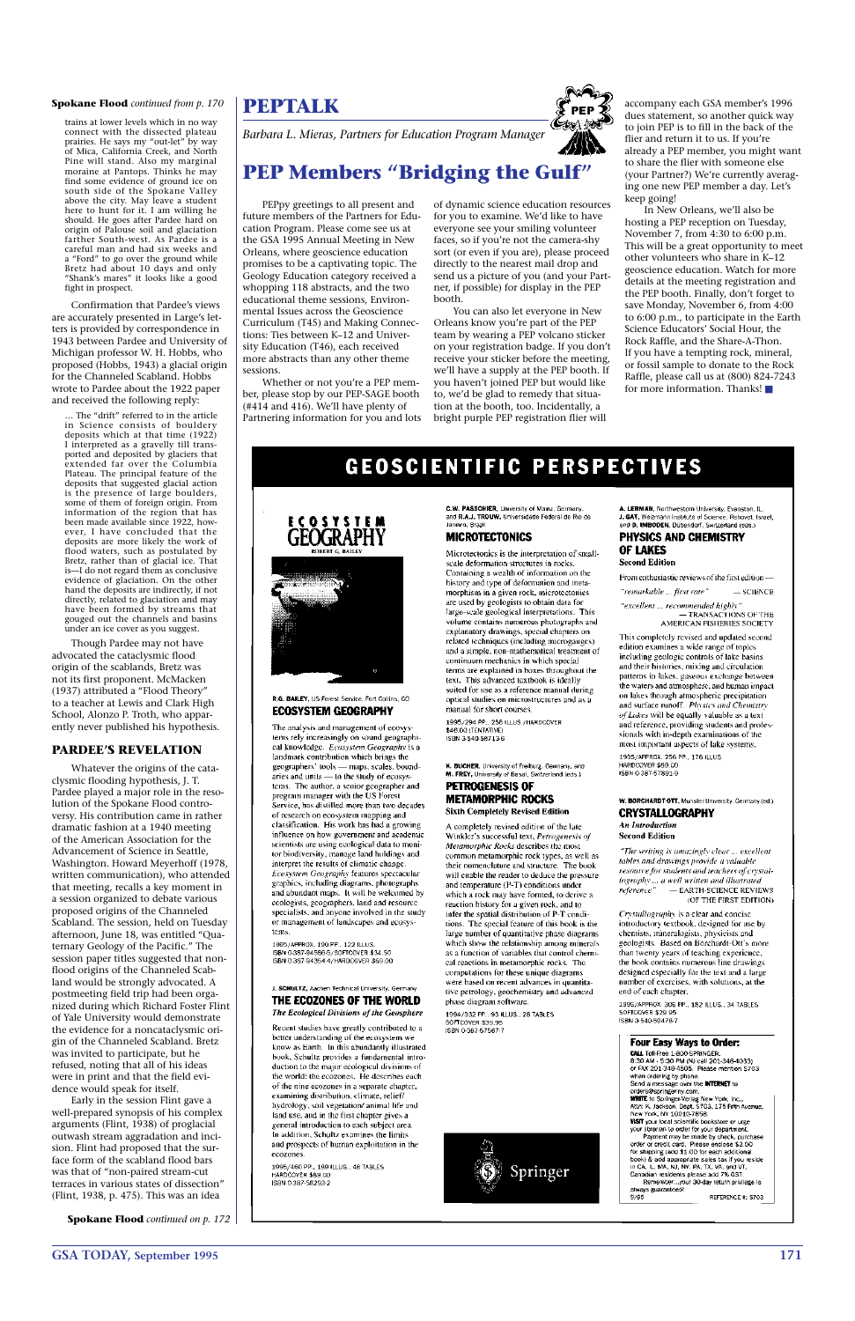## **GSA TODAY, September 1995 171**

trains at lower levels which in no way connect with the dissected plateau prairies. He says my "out-let" by way of Mica, California Creek, and North Pine will stand. Also my marginal moraine at Pantops. Thinks he may find some evidence of ground ice on south side of the Spokane Valley above the city. May leave a student here to hunt for it. I am willing he should. He goes after Pardee hard on origin of Palouse soil and glaciation farther South-west. As Pardee is a careful man and had six weeks and a "Ford" to go over the ground while Bretz had about 10 days and only "Shank's mares" it looks like a good fight in prospect.

Confirmation that Pardee's views are accurately presented in Large's letters is provided by correspondence in 1943 between Pardee and University of Michigan professor W. H. Hobbs, who proposed (Hobbs, 1943) a glacial origin for the Channeled Scabland. Hobbs wrote to Pardee about the 1922 paper and received the following reply:

… The "drift" referred to in the article in Science consists of bouldery deposits which at that time (1922) I interpreted as a gravelly till transported and deposited by glaciers that extended far over the Columbia Plateau. The principal feature of the deposits that suggested glacial action is the presence of large boulders, some of them of foreign origin. From information of the region that has been made available since 1922, however, I have concluded that the deposits are more likely the work of flood waters, such as postulated by Bretz, rather than of glacial ice. That is—I do not regard them as conclusive evidence of glaciation. On the other hand the deposits are indirectly, if not directly, related to glaciation and may have been formed by streams that gouged out the channels and basins under an ice cover as you suggest.

Though Pardee may not have advocated the cataclysmic flood origin of the scablands, Bretz was not its first proponent. McMacken (1937) attributed a "Flood Theory" to a teacher at Lewis and Clark High School, Alonzo P. Troth, who apparently never published his hypothesis.

### **PARDEE'S REVELATION**

Whatever the origins of the cataclysmic flooding hypothesis, J. T. Pardee played a major role in the resolution of the Spokane Flood controversy. His contribution came in rather dramatic fashion at a 1940 meeting of the American Association for the Advancement of Science in Seattle, Washington. Howard Meyerhoff (1978, written communication), who attended that meeting, recalls a key moment in a session organized to debate various proposed origins of the Channeled Scabland. The session, held on Tuesday afternoon, June 18, was entitled "Quaternary Geology of the Pacific." The session paper titles suggested that nonflood origins of the Channeled Scabland would be strongly advocated. A postmeeting field trip had been organized during which Richard Foster Flint of Yale University would demonstrate the evidence for a noncataclysmic origin of the Channeled Scabland. Bretz was invited to participate, but he refused, noting that all of his ideas were in print and that the field evidence would speak for itself. Early in the session Flint gave a well-prepared synopsis of his complex arguments (Flint, 1938) of proglacial outwash stream aggradation and incision. Flint had proposed that the surface form of the scabland flood bars was that of "non-paired stream-cut terraces in various states of dissection" (Flint, 1938, p. 475). This was an idea

#### **Spokane Flood** *continued from p. 170*

**Spokane Flood** *continued on p. 172*

J. SCHULTZ, Aachen Technical University, Germany THE ECOZONES OF THE WORLD The Ecological Divisions of the Geosphere

Recent studies have greatly contributed to a better understanding of the ecosystem we know as Earth. In this abundantly illustrated book, Schultz provides a fundamental introduction to the major ecological divisions of the world: the ecozones. He describes each of the nine ecozones in a separate chapter, examining distribution, climate, relief/ hydrology, soil vegetation/ animal life and land use, and in the first chapter gives a general introduction to each subject area. In addition, Schultz examines the limits and prospects of human exploitation in the ecozones.

1995/460 PP., 189 ILLUS., 48 TABLES HARDCOVER \$89.00 ISBN 0-387-58293-2

1994/332 PP., 93 ILLUS., 28 TABLES SOFTCOVER \$39.95 ISBN 0-387-57567-7



1995/APPROX. 306 PP., 182 ILLUS., 34 TABLES SOFTCOVER \$29.95 ISBN 3-540-59478-7

#### Four Easy Ways to Order:

CALL Toll-Free 1-800-SPRINGER. 8:30 AM - 5:30 PM (N) call 201-348-4033). or FAX 201-348-4505. Please mention \$703<br>when ordering by phone. Send a message over the INTERNET to Sena a message over the **military.**<br>
orders@springer-ny.com.<br> **WHITE** to Springer-Verlag New York, Inc.,<br>
Attn: K. Jackson, Dept. S703, 175 Fifth Avenue,<br>
Attn: K. Jackson, Dept. S703, 175 Fifth Avenue, New York, NY 10010-7858.<br>New York, NY 10010-7858.<br>VISIT your local scientific bookstore or urge your librarian to order for your department.<br>Payment may be made by check, purchased order or credit card. Please enclose \$3.00 For shipping (add \$1.00 for each additional<br>book) & add appropriate sales tax if you reside<br>in CA, IL, MA, NJ, NY, PA, TX, VA, and VT. Canadian residents please add 7% GST Remember...your 30-day return privilege is always guaranteed!  $9/95$ REFERENCE #: \$703

PEPpy greetings to all present and future members of the Partners for Education Program. Please come see us at the GSA 1995 Annual Meeting in New Orleans, where geoscience education promises to be a captivating topic. The Geology Education category received a whopping 118 abstracts, and the two educational theme sessions, Environmental Issues across the Geoscience Curriculum (T45) and Making Connections: Ties between K–12 and University Education (T46), each received more abstracts than any other theme sessions.

Whether or not you're a PEP member, please stop by our PEP-SAGE booth (#414 and 416). We'll have plenty of Partnering information for you and lots of dynamic science education resources for you to examine. We'd like to have everyone see your smiling volunteer faces, so if you're not the camera-shy sort (or even if you are), please proceed directly to the nearest mail drop and send us a picture of you (and your Partner, if possible) for display in the PEP booth.

You can also let everyone in New Orleans know you're part of the PEP team by wearing a PEP volcano sticker on your registration badge. If you don't receive your sticker before the meeting, we'll have a supply at the PEP booth. If you haven't joined PEP but would like to, we'd be glad to remedy that situation at the booth, too. Incidentally, a bright purple PEP registration flier will

accompany each GSA member's 1996 dues statement, so another quick way to join PEP is to fill in the back of the flier and return it to us. If you're already a PEP member, you might want to share the flier with someone else (your Partner?) We're currently averaging one new PEP member a day. Let's keep going!

In New Orleans, we'll also be hosting a PEP reception on Tuesday, November 7, from 4:30 to 6:00 p.m. This will be a great opportunity to meet other volunteers who share in K–12 geoscience education. Watch for more details at the meeting registration and the PEP booth. Finally, don't forget to save Monday, November 6, from 4:00 to 6:00 p.m., to participate in the Earth Science Educators' Social Hour, the Rock Raffle, and the Share-A-Thon. If you have a tempting rock, mineral, or fossil sample to donate to the Rock Raffle, please call us at (800) 824-7243 for more information. Thanks! ■

## **GEOSCIENTIFIC PERSPECTIVES**





#### R.G. BAILEY, US Forest Service, Fort Collins, CO **ECOSYSTEM GEOGRAPHY**

The analysis and management of ecosystems rely increasingly on sound geographical knowledge. Ecosystem Geography is a landmark contribution which brings the geographers' tools - maps, scales, boundaries and units - to the study of ecosys tems. The author, a senior geographer and program manager with the US Forest Service, has distilled more than two decades of research on ecosystem mapping and classification. His work has had a growing influence on how government and academic scientists are using ecological data to monitor biodiversity, manage land holdings and interpret the results of climatic change. Ecosystem Geography features spectacular graphics, including diagrams, photographs and abundant maps. It will be welcomed by ecologists, geographers, land and resource specialists, and anyone involved in the study or management of landscapes and ecosystems.

1995/APPROX, 190 PP., 122 ILLUS. ISBN 0-387-94586-5/SOFTCOVER \$34.50 ISBN 0-387-94354-4/HARDCOVER \$69.00 C.W. PASSCHIER, University of Mainz, Germany and R.A.J. TROUW, Universidade Federal de Rio de Janeiro, Brazil

### **MICROTECTONICS**

Microtectonics is the interpretation of smallscale deformation structures in rocks. Containing a wealth of information on the history and type of deformation and metamorphism in a given rock, microtectonics are used by geologists to obtain data for large-scale geological interpretations. This volume contains numerous photographs and explanatory drawings, special chapters on related techniques (including microgauges) and a simple, non-mathematical treatment of continuum mechanics in which special terms are explained in boxes throughout the text. This advanced textbook is ideally suited for use as a reference manual during optical studies on microstructures and as a manual for short courses.

1995/294 PP., 256 ILLUS./HARDCOVER \$46.00 (TENTATIVE) ISBN 3-540-58713-6

K. BUCHER, University of Freiburg. Germany, and M. FREY, University of Basel, Switzerland (eds.) **PETROGENESIS OF** 

### **METAMORPHIC ROCKS Sixth Completely Revised Edition**

A completely revised edition of the late Winkler's successful text, Petrogenesis of Metamorphic Rocks describes the most common metamorphic rock types, as well as their nomenclature and structure. The book will enable the reader to deduce the pressure and temperature (P-T) conditions under which a rock may have formed, to derive a reaction history for a given rock, and to infer the spatial distribution of P-T conditions. The special feature of this book is the large number of quantitative phase diagrams which show the relationship among minerals as a function of variables that control chemical reactions in metamorphic rocks. The computations for these unique diagrams were based on recent advances in quantitative petrology, geochemistry and advanced phase diagram software.

A. LERMAN, Northwestern University, Evanston, IL, J. GAT, Weizmann Institute of Science, Rehovot, Israel,<br>and D. IMBODEN, Dübendorf, Switzerland (eds.)

### PHYSICS AND CHEMISTRY **OF LAKES**

**Second Edition** 

From enthusiastic reviews of the first edition-

"remarkable ... first rate"  $-$  SCIENCE

"excellent ... recommended highly" - TRANSACTIONS OF THE<br>- TRANSACTIONS OF THE

This completely revised and updated second edition examines a wide range of topics including geologic controls of lake basins and their histories, mixing and circulation patterns in lakes, gaseous exchange between the waters and atmosphere, and human impact on lakes through atmospheric precipitation. and surface runoff. Physics and Chemistry of Lakes will be equally valuable as a text and reference, providing students and professionals with in-depth examinations of the most important aspects of lake systems

1995/APPROX, 256 PP., 176 ILLUS. HARDCOVER \$89.00 ISBN 0-387-57891-9

#### W. BORCHARDT-OTT, Munster University, Germany (ed.) **CRYSTALLOGRAPHY**

An Introduction **Second Edition** 

"The writing is amazingly clear ... excellent tables and drawings provide a valuable resource for students and teachers of crystallography ... a well written and illustrated<br>reference" — EARTH-SCIENCE REVIEY  $-$  EARTH-SCIENCE REVIEWS (OF THE FIRST EDITION)

Crystallography is a clear and concise introductory textbook, designed for use by chemists, mineralogists, physicists and geologists. Based on Borchardt-Ott's more than twenty years of teaching experience, the book contains numerous line drawings designed especially for the text and a large number of exercises, with solutions, at the end of each chapter.

## **PEPTALK**

*Barbara L. Mieras, Partners for Education Program Manager*

## **PEP Members "Bridging the Gulf"**

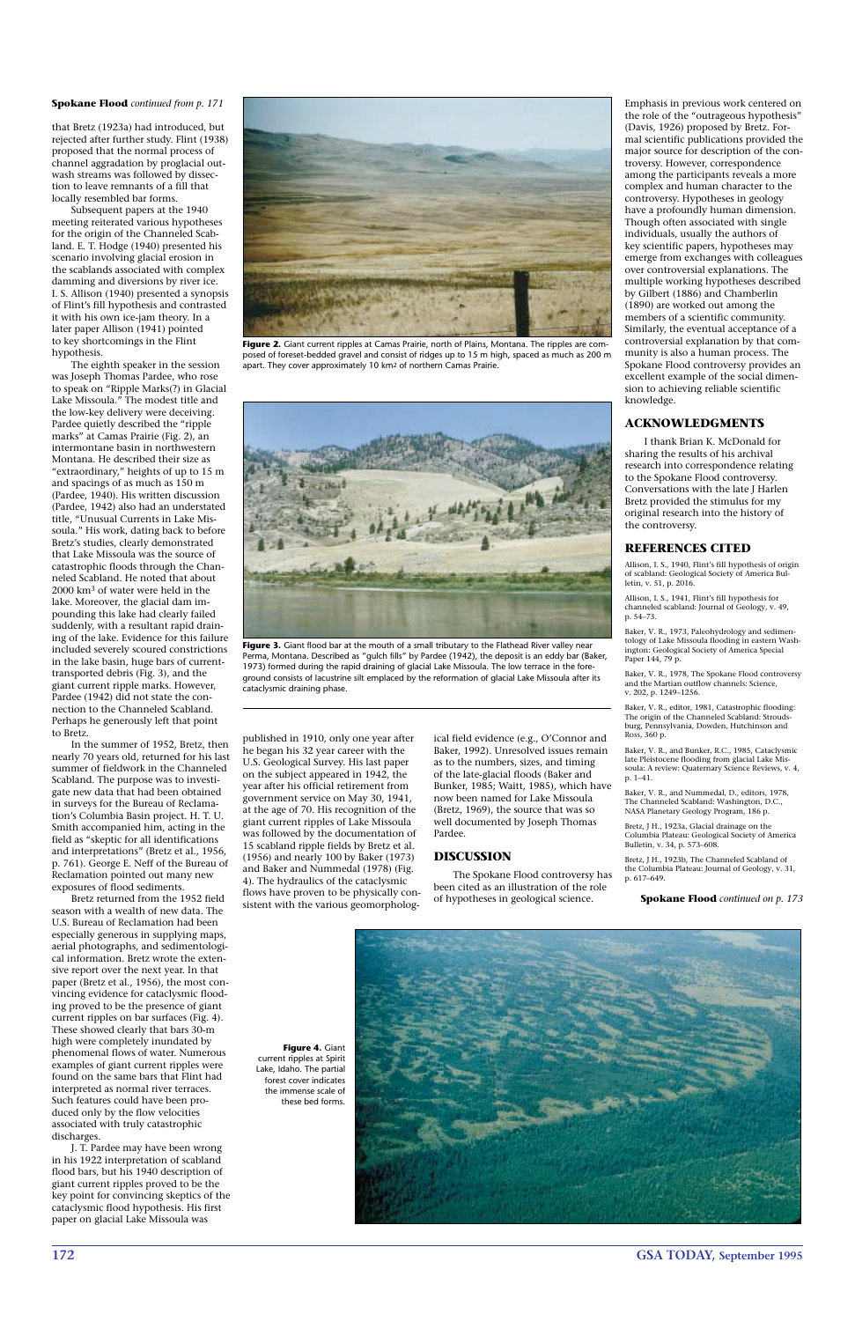**172 GSA TODAY, September 1995**

that Bretz (1923a) had introduced, but rejected after further study. Flint (1938) proposed that the normal process of channel aggradation by proglacial outwash streams was followed by dissection to leave remnants of a fill that locally resembled bar forms.

Subsequent papers at the 1940 meeting reiterated various hypotheses for the origin of the Channeled Scabland. E. T. Hodge (1940) presented his scenario involving glacial erosion in the scablands associated with complex damming and diversions by river ice. I. S. Allison (1940) presented a synopsis of Flint's fill hypothesis and contrasted it with his own ice-jam theory. In a later paper Allison (1941) pointed to key shortcomings in the Flint hypothesis.

The eighth speaker in the session was Joseph Thomas Pardee, who rose to speak on "Ripple Marks(?) in Glacial Lake Missoula." The modest title and the low-key delivery were deceiving. Pardee quietly described the "ripple marks" at Camas Prairie (Fig. 2), an intermontane basin in northwestern Montana. He described their size as "extraordinary," heights of up to 15 m and spacings of as much as 150 m (Pardee, 1940). His written discussion (Pardee, 1942) also had an understated title, "Unusual Currents in Lake Missoula." His work, dating back to before Bretz's studies, clearly demonstrated that Lake Missoula was the source of catastrophic floods through the Channeled Scabland. He noted that about 2000 km3 of water were held in the lake. Moreover, the glacial dam impounding this lake had clearly failed suddenly, with a resultant rapid draining of the lake. Evidence for this failure included severely scoured constrictions in the lake basin, huge bars of currenttransported debris (Fig. 3), and the giant current ripple marks. However, Pardee (1942) did not state the connection to the Channeled Scabland. Perhaps he generously left that point to Bretz.

In the summer of 1952, Bretz, then nearly 70 years old, returned for his last summer of fieldwork in the Channeled Scabland. The purpose was to investigate new data that had been obtained in surveys for the Bureau of Reclamation's Columbia Basin project. H. T. U. Smith accompanied him, acting in the field as "skeptic for all identifications and interpretations" (Bretz et al., 1956, p. 761). George E. Neff of the Bureau of Reclamation pointed out many new exposures of flood sediments.

Bretz returned from the 1952 field season with a wealth of new data. The U.S. Bureau of Reclamation had been especially generous in supplying maps, aerial photographs, and sedimentological information. Bretz wrote the extensive report over the next year. In that paper (Bretz et al., 1956), the most convincing evidence for cataclysmic flooding proved to be the presence of giant current ripples on bar surfaces (Fig. 4). These showed clearly that bars 30-m high were completely inundated by phenomenal flows of water. Numerous examples of giant current ripples were found on the same bars that Flint had interpreted as normal river terraces. Such features could have been produced only by the flow velocities associated with truly catastrophic discharges. J. T. Pardee may have been wrong in his 1922 interpretation of scabland flood bars, but his 1940 description of giant current ripples proved to be the key point for convincing skeptics of the cataclysmic flood hypothesis. His first paper on glacial Lake Missoula was



Figure 2. Giant current ripples at Camas Prairie, north of Plains, Montana. The ripples are composed of foreset-bedded gravel and consist of ridges up to 15 m high, spaced as much as 200 m apart. They cover approximately 10 km2 of northern Camas Prairie.

published in 1910, only one year after he began his 32 year career with the U.S. Geological Survey. His last paper on the subject appeared in 1942, the year after his official retirement from government service on May 30, 1941, at the age of 70. His recognition of the giant current ripples of Lake Missoula was followed by the documentation of 15 scabland ripple fields by Bretz et al. (1956) and nearly 100 by Baker (1973) and Baker and Nummedal (1978) (Fig. 4). The hydraulics of the cataclysmic flows have proven to be physically consistent with the various geomorpholog-



Figure 3. Giant flood bar at the mouth of a small tributary to the Flathead River valley near Perma, Montana. Described as "gulch fills" by Pardee (1942), the deposit is an eddy bar (Baker, 1973) formed during the rapid draining of glacial Lake Missoula. The low terrace in the foreground consists of lacustrine silt emplaced by the reformation of glacial Lake Missoula after its cataclysmic draining phase.

ical field evidence (e.g., O'Connor and Baker, 1992). Unresolved issues remain as to the numbers, sizes, and timing of the late-glacial floods (Baker and Bunker, 1985; Waitt, 1985), which have now been named for Lake Missoula (Bretz, 1969), the source that was so well documented by Joseph Thomas Pardee.

#### **DISCUSSION**

The Spokane Flood controversy has been cited as an illustration of the role of hypotheses in geological science.

Emphasis in previous work centered on the role of the "outrageous hypothesis" (Davis, 1926) proposed by Bretz. Formal scientific publications provided the major source for description of the controversy. However, correspondence among the participants reveals a more complex and human character to the controversy. Hypotheses in geology have a profoundly human dimension. Though often associated with single individuals, usually the authors of key scientific papers, hypotheses may emerge from exchanges with colleagues over controversial explanations. The multiple working hypotheses described by Gilbert (1886) and Chamberlin (1890) are worked out among the members of a scientific community. Similarly, the eventual acceptance of a controversial explanation by that community is also a human process. The Spokane Flood controversy provides an excellent example of the social dimension to achieving reliable scientific knowledge.

#### **ACKNOWLEDGMENTS**

I thank Brian K. McDonald for sharing the results of his archival research into correspondence relating to the Spokane Flood controversy. Conversations with the late J Harlen Bretz provided the stimulus for my original research into the history of the controversy.

#### **REFERENCES CITED**

Allison, I. S., 1940, Flint's fill hypothesis of origin of scabland: Geological Society of America Bulletin, v. 51, p. 2016.

Allison, I. S., 1941, Flint's fill hypothesis for channeled scabland: Journal of Geology, v. 49, p. 54–73.

Baker, V. R., 1973, Paleohydrology and sedimentology of Lake Missoula flooding in eastern Washington: Geological Society of America Special Paper 144, 79 p.

Baker, V. R., 1978, The Spokane Flood controversy and the Martian outflow channels: Science, v. 202, p. 1249–1256.

Baker, V. R., editor, 1981, Catastrophic flooding: The origin of the Channeled Scabland: Stroudsburg, Pennsylvania, Dowden, Hutchinson and Ross, 360 p.

Baker, V. R., and Bunker, R.C., 1985, Cataclysmic late Pleistocene flooding from glacial Lake Missoula: A review: Quaternary Science Reviews, v. 4, p. 1–41.

Baker, V. R., and Nummedal, D., editors, 1978, The Channeled Scabland: Washington, D.C., NASA Planetary Geology Program, 186 p.

Bretz, J H., 1923a, Glacial drainage on the Columbia Plateau: Geological Society of America Bulletin, v. 34, p. 573–608.

Bretz, J H., 1923b, The Channeled Scabland of the Columbia Plateau: Journal of Geology, v. 31, p. 617–649.

**Figure 4.** Giant current ripples at Spirit Lake, Idaho. The partial forest cover indicates the immense scale of these bed forms.

#### **Spokane Flood** *continued from p. 171*

**Spokane Flood** *continued on p. 173*